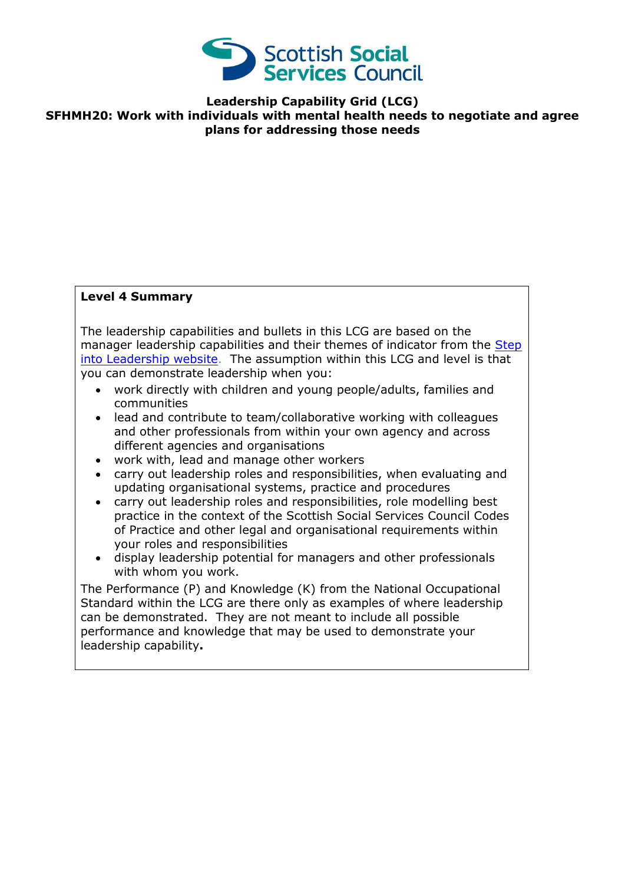

**Leadership Capability Grid (LCG) SFHMH20: Work with individuals with mental health needs to negotiate and agree plans for addressing those needs**

## **Level 4 Summary**

The leadership capabilities and bullets in this LCG are based on the manager leadership capabilities and their themes of indicator from the [Step](http://www.stepintoleadership.info/index.html)  [into Leadership website.](http://www.stepintoleadership.info/index.html) The assumption within this LCG and level is that you can demonstrate leadership when you:

- work directly with children and young people/adults, families and communities
- lead and contribute to team/collaborative working with colleagues and other professionals from within your own agency and across different agencies and organisations
- work with, lead and manage other workers
- carry out leadership roles and responsibilities, when evaluating and updating organisational systems, practice and procedures
- carry out leadership roles and responsibilities, role modelling best practice in the context of the Scottish Social Services Council Codes of Practice and other legal and organisational requirements within your roles and responsibilities
- display leadership potential for managers and other professionals with whom you work.

The Performance (P) and Knowledge (K) from the National Occupational Standard within the LCG are there only as examples of where leadership can be demonstrated. They are not meant to include all possible performance and knowledge that may be used to demonstrate your leadership capability**.**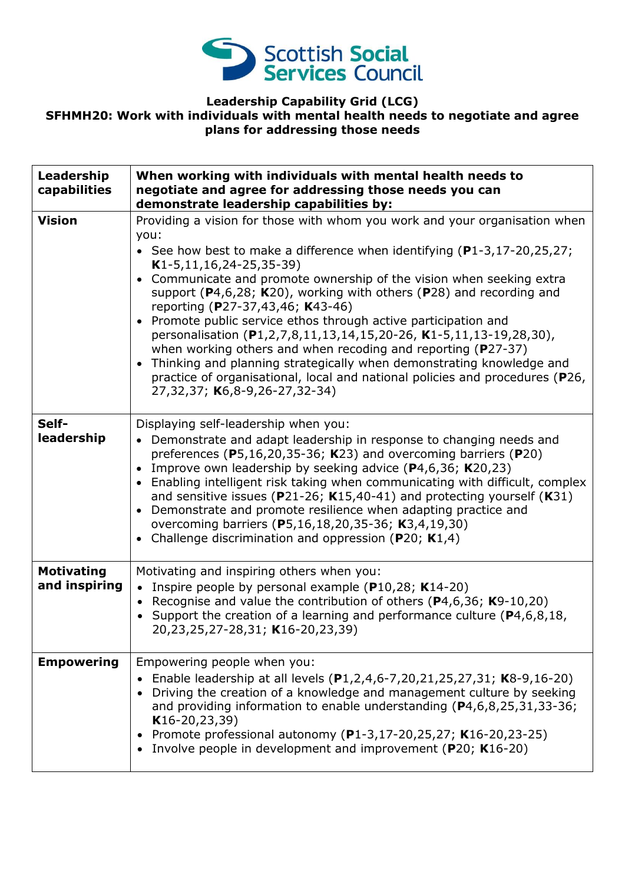

## **Leadership Capability Grid (LCG) SFHMH20: Work with individuals with mental health needs to negotiate and agree plans for addressing those needs**

| Leadership<br>capabilities         | When working with individuals with mental health needs to<br>negotiate and agree for addressing those needs you can<br>demonstrate leadership capabilities by:                                                                                                                                                                                                                                                                                                                                                                                                                                                                                                                                                                                                                                       |
|------------------------------------|------------------------------------------------------------------------------------------------------------------------------------------------------------------------------------------------------------------------------------------------------------------------------------------------------------------------------------------------------------------------------------------------------------------------------------------------------------------------------------------------------------------------------------------------------------------------------------------------------------------------------------------------------------------------------------------------------------------------------------------------------------------------------------------------------|
| <b>Vision</b>                      | Providing a vision for those with whom you work and your organisation when<br>you:<br>• See how best to make a difference when identifying $(P1-3, 17-20, 25, 27)$ ;<br>$K1-5, 11, 16, 24-25, 35-39)$<br>• Communicate and promote ownership of the vision when seeking extra<br>support ( $P4,6,28$ ; K20), working with others ( $P28$ ) and recording and<br>reporting (P27-37,43,46; K43-46)<br>• Promote public service ethos through active participation and<br>personalisation (P1,2,7,8,11,13,14,15,20-26, K1-5,11,13-19,28,30),<br>when working others and when recoding and reporting (P27-37)<br>• Thinking and planning strategically when demonstrating knowledge and<br>practice of organisational, local and national policies and procedures (P26,<br>27,32,37; K6,8-9,26-27,32-34) |
| Self-<br>leadership                | Displaying self-leadership when you:<br>• Demonstrate and adapt leadership in response to changing needs and<br>preferences ( $P5,16,20,35-36$ ; K23) and overcoming barriers ( $P20$ )<br>Improve own leadership by seeking advice $(P4, 6, 36; K20, 23)$<br>• Enabling intelligent risk taking when communicating with difficult, complex<br>and sensitive issues ( $P$ 21-26; K15,40-41) and protecting yourself (K31)<br>• Demonstrate and promote resilience when adapting practice and<br>overcoming barriers (P5,16,18,20,35-36; K3,4,19,30)<br>• Challenge discrimination and oppression (P20; $K1,4$ )                                                                                                                                                                                      |
| <b>Motivating</b><br>and inspiring | Motivating and inspiring others when you:<br>Inspire people by personal example $(P10, 28; K14-20)$<br>$\bullet$<br>• Recognise and value the contribution of others (P4,6,36; K9-10,20)<br>• Support the creation of a learning and performance culture ( $P4, 6, 8, 18$ ,<br>20,23,25,27-28,31; K16-20,23,39)                                                                                                                                                                                                                                                                                                                                                                                                                                                                                      |
| <b>Empowering</b>                  | Empowering people when you:<br>Enable leadership at all levels (P1,2,4,6-7,20,21,25,27,31; K8-9,16-20)<br>$\bullet$<br>Driving the creation of a knowledge and management culture by seeking<br>and providing information to enable understanding (P4,6,8,25,31,33-36;<br>$K16-20, 23, 39)$<br>Promote professional autonomy (P1-3,17-20,25,27; K16-20,23-25)<br>Involve people in development and improvement (P20; K16-20)<br>$\bullet$                                                                                                                                                                                                                                                                                                                                                            |